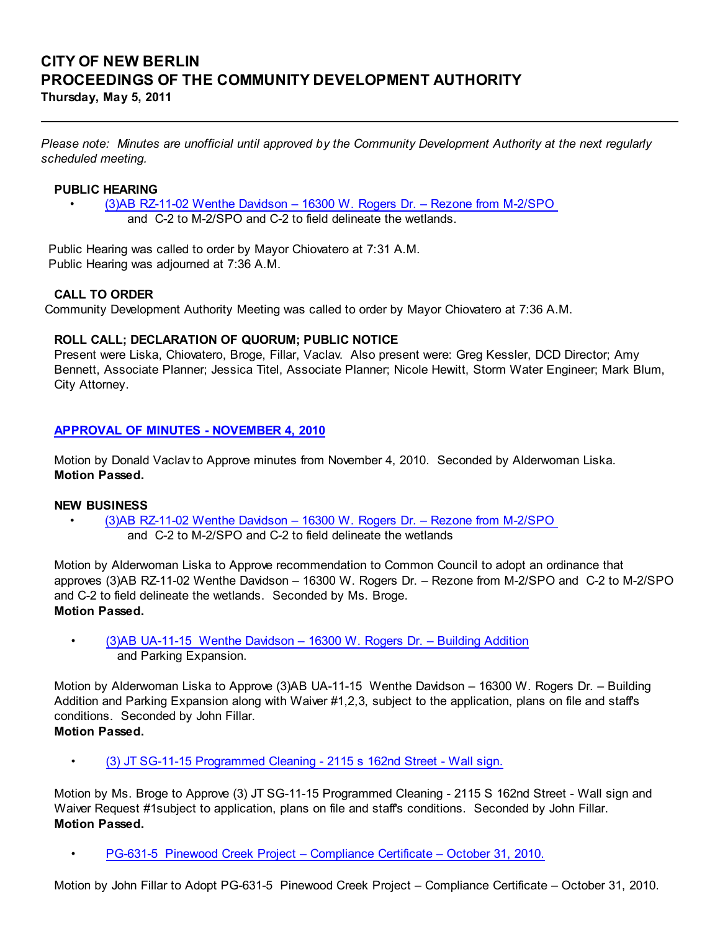# CITY OF NEW BERLIN PROCEEDINGS OF THE COMMUNITY DEVELOPMENT AUTHORITY Thursday, May 5, 2011

Please note: Minutes are unofficial until approved by the Community Development Authority at the next regularly scheduled meeting.

### PUBLIC HEARING

• (3)AB RZ-11-02 Wenthe Davidson – 16300 W. Rogers Dr. – Rezone from M-2/SPO and C-2 to M-2/SPO and C-2 to field delineate the wetlands.

 Public Hearing was called to order by Mayor Chiovatero at 7:31 A.M. Public Hearing was adjourned at 7:36 A.M.

#### CALL TO ORDER

Community Development Authority Meeting was called to order by Mayor Chiovatero at 7:36 A.M.

#### ROLL CALL; DECLARATION OF QUORUM; PUBLIC NOTICE

Present were Liska, Chiovatero, Broge, Fillar, Vaclav. Also present were: Greg Kessler, DCD Director; Amy Bennett, Associate Planner; Jessica Titel, Associate Planner; Nicole Hewitt, Storm Water Engineer; Mark Blum, City Attorney.

#### APPROVAL OF MINUTES - NOVEMBER 4, 2010

Motion by Donald Vaclav to Approve minutes from November 4, 2010. Seconded by Alderwoman Liska. Motion Passed.

#### NEW BUSINESS

• (3)AB RZ-11-02 Wenthe Davidson – 16300 W. Rogers Dr. – Rezone from M-2/SPO and C-2 to M-2/SPO and C-2 to field delineate the wetlands

Motion by Alderwoman Liska to Approve recommendation to Common Council to adopt an ordinance that approves (3)AB RZ-11-02 Wenthe Davidson – 16300 W. Rogers Dr. – Rezone from M-2/SPO and C-2 to M-2/SPO and C-2 to field delineate the wetlands. Seconded by Ms. Broge. Motion Passed.

• (3)AB UA-11-15 Wenthe Davidson – 16300 W. Rogers Dr. – Building Addition and Parking Expansion.

Motion by Alderwoman Liska to Approve (3)AB UA-11-15 Wenthe Davidson – 16300 W. Rogers Dr. – Building Addition and Parking Expansion along with Waiver #1,2,3, subject to the application, plans on file and staff's conditions. Seconded by John Fillar. Motion Passed.

• (3) JT SG-11-15 Programmed Cleaning - 2115 s 162nd Street - Wall sign.

Motion by Ms. Broge to Approve (3) JT SG-11-15 Programmed Cleaning - 2115 S 162nd Street - Wall sign and Waiver Request #1subject to application, plans on file and staff's conditions. Seconded by John Fillar. Motion Passed.

• PG-631-5 Pinewood Creek Project – Compliance Certificate – October 31, 2010.

Motion by John Fillar to Adopt PG-631-5 Pinewood Creek Project – Compliance Certificate – October 31, 2010.